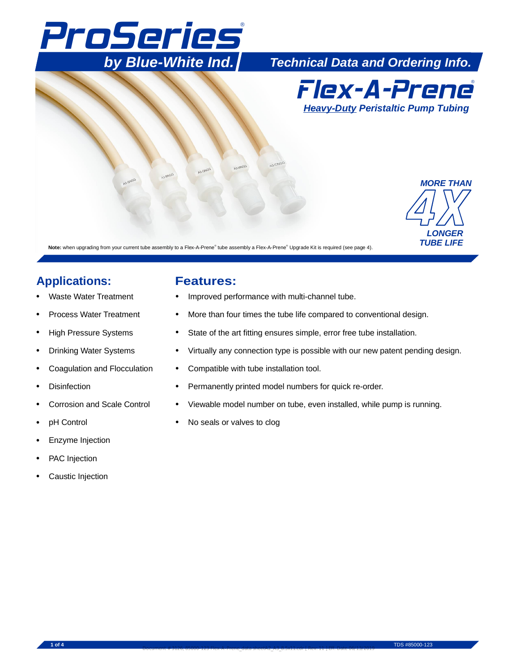# ® *by Blue-White Ind.* ProSeries

*by Blue-White Ind. Technical Data and Ordering Info.*



# *LONGER TUBE LIFE MORE THAN*

Note: when upgrading from your current tube assembly to a Flex-A-Prene<sup>®</sup> tube assembly a Flex-A-Prene<sup>®</sup> Upgrade Kit is required (see page 4).

### **Applications: Features:**

- Waste Water Treatment
- Process Water Treatment
- High Pressure Systems
- Drinking Water Systems
- Coagulation and Flocculation
- **Disinfection**
- Corrosion and Scale Control
- pH Control
- Enzyme Injection
- PAC Injection
- Caustic Injection

- Improved performance with multi-channel tube.
- More than four times the tube life compared to conventional design.
- State of the art fitting ensures simple, error free tube installation.
- Virtually any connection type is possible with our new patent pending design.
- Compatible with tube installation tool.

Document # 3126, 85000-123 Flex-A-Prene\_data sheetA2\_A3\_8.5x11.cdr [ Rev: 11 ] Eff. Date 06/13/2019

- Permanently printed model numbers for quick re-order.
- Viewable model number on tube, even installed, while pump is running.
- No seals or valves to clog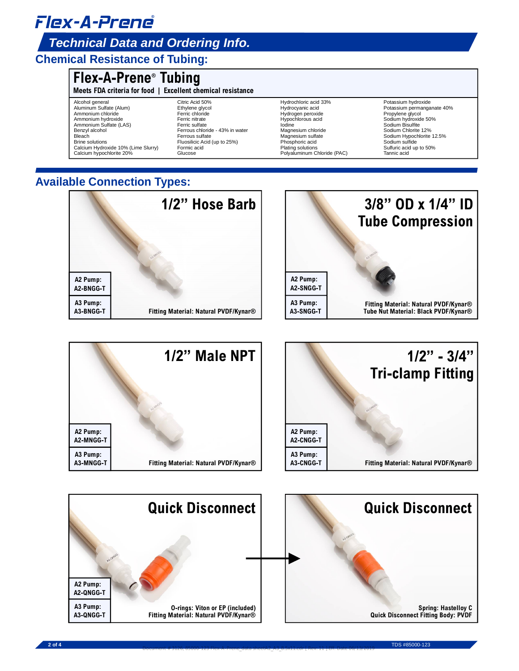# Flex-A-Prene **®**

### *Technical Data and Ordering Info.*

#### **Chemical Resistance of Tubing:**

### **Flex-A-Prene® Tubing**

**Meets FDA criteria for food | Excellent chemical resistance**

Alcohol general Aluminum Sulfate (Alum) Ammonium chloride Ammonium hydroxide Ammonium Sulfate (LAS) Benzyl alcohol **Bleach** Brine solutions Calcium Hydroxide 10% (Lime Slurry) Calcium hypochlorite 20%

Citric Acid 50% Ethylene glycol Ferric chloride Ferric nitrate Ferric sulfate Ferrous chloride - 43% in water Ferrous sulfate Formic acid Glucose Fluosilicic Acid (up to 25%)

Hydrochloric acid 33% Hydrocyanic acid Hydrogen peroxide Hypochlorous acid Iodine Magnesium chloride Magnesium sulfate Phosphoric acid Plating solutions Polyaluminum Chloride (PAC)

Potassium hydroxide Potassium permanganate 40% Propylene glycol Sodium hydroxide 50% Sodium Bisulfite Sodium Chlorite 12% Sodium Hypochlorite 12.5% Sodium sulfide Sulfuric acid up to 50% Tannic acid

### **Available Connection Types:**





**Spring: Hastelloy C Quick Disconnect Fitting Body: PVDF**

**A2-QNGG-T A2 Pump: A3-QNGG-T A3 Pump: O-rings: Viton or EP (included) Fitting Material: Natural PVDF/Kynar®**

**2 of 4** TDS #85000-123 Document # 3126, 85000-123 Flex-A-Prene\_data sheetA2\_A3\_8.5x11.cdr [ Rev: 11 ] Eff. Date 06/13/2019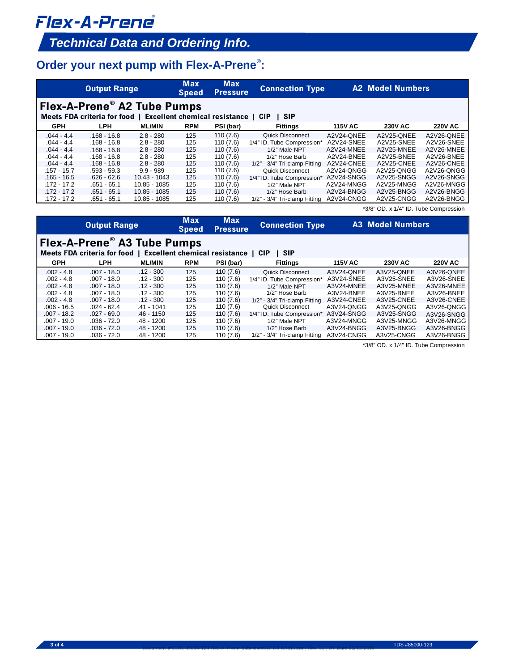# Flex-A-Prene **®**

## *Technical Data and Ordering Info.*

### **Order your next pump with Flex-A-Prene<sup>®</sup>:**

|                                                                                                                                                                 | <b>Output Range</b>                                                                                                                                                    |                                                                                                                                                          | <b>Max</b><br><b>Speed</b>                                         | <b>Max</b><br><b>Pressure</b>                                                                                        | <b>Connection Type</b>                                                                                                                                                                                                                          |                                                                                                                                          | <b>A2 Model Numbers</b>                                                                                                                  |                                                                                                                                          |
|-----------------------------------------------------------------------------------------------------------------------------------------------------------------|------------------------------------------------------------------------------------------------------------------------------------------------------------------------|----------------------------------------------------------------------------------------------------------------------------------------------------------|--------------------------------------------------------------------|----------------------------------------------------------------------------------------------------------------------|-------------------------------------------------------------------------------------------------------------------------------------------------------------------------------------------------------------------------------------------------|------------------------------------------------------------------------------------------------------------------------------------------|------------------------------------------------------------------------------------------------------------------------------------------|------------------------------------------------------------------------------------------------------------------------------------------|
| Flex-A-Prene® A2 Tube Pumps<br>Meets FDA criteria for food  <br><b>Excellent chemical resistance</b><br><b>SIP</b><br><b>CIP</b>                                |                                                                                                                                                                        |                                                                                                                                                          |                                                                    |                                                                                                                      |                                                                                                                                                                                                                                                 |                                                                                                                                          |                                                                                                                                          |                                                                                                                                          |
| <b>GPH</b>                                                                                                                                                      | <b>LPH</b>                                                                                                                                                             | <b>ML/MIN</b>                                                                                                                                            | <b>RPM</b>                                                         | PSI (bar)                                                                                                            | <b>Fittings</b>                                                                                                                                                                                                                                 | <b>115V AC</b>                                                                                                                           | <b>230V AC</b>                                                                                                                           | <b>220V AC</b>                                                                                                                           |
| $.044 - 4.4$<br>$.044 - 4.4$<br>$.044 - 4.4$<br>$.044 - 4.4$<br>$.044 - 4.4$<br>$.157 - 15.7$<br>$.165 - 16.5$<br>$.172 - 17.2$<br>$.172 - 17.2$<br>.172 - 17.2 | $.168 - 16.8$<br>$.168 - 16.8$<br>$.168 - 16.8$<br>$.168 - 16.8$<br>$.168 - 16.8$<br>$.593 - 59.3$<br>$.626 - 62.6$<br>$.651 - 65.1$<br>$.651 - 65.1$<br>$.651 - 65.1$ | $2.8 - 280$<br>$2.8 - 280$<br>$2.8 - 280$<br>$2.8 - 280$<br>$2.8 - 280$<br>$9.9 - 989$<br>$10.43 - 1043$<br>10.85 - 1085<br>10.85 - 1085<br>10.85 - 1085 | 125<br>125<br>125<br>125<br>125<br>125<br>125<br>125<br>125<br>125 | 110(7.6)<br>110(7.6)<br>110(7.6)<br>110(7.6)<br>110(7.6)<br>110(7.6)<br>110(7.6)<br>110(7.6)<br>110(7.6)<br>110(7.6) | <b>Quick Disconnect</b><br>1/4" ID. Tube Compression*<br>1/2" Male NPT<br>1/2" Hose Barb<br>1/2" - 3/4" Tri-clamp Fitting<br>Quick Disconnect<br>1/4" ID. Tube Compression*<br>1/2" Male NPT<br>1/2" Hose Barb<br>1/2" - 3/4" Tri-clamp Fitting | A2V24-QNEE<br>A2V24-SNEE<br>A2V24-MNEE<br>A2V24-BNEE<br>A2V24-CNEE<br>A2V24-QNGG<br>A2V24-SNGG<br>A2V24-MNGG<br>A2V24-BNGG<br>A2V24-CNGG | A2V25-QNEE<br>A2V25-SNEE<br>A2V25-MNEE<br>A2V25-BNEE<br>A2V25-CNEE<br>A2V25-QNGG<br>A2V25-SNGG<br>A2V25-MNGG<br>A2V25-BNGG<br>A2V25-CNGG | A2V26-QNEE<br>A2V26-SNEE<br>A2V26-MNEE<br>A2V26-BNEE<br>A2V26-CNEE<br>A2V26-QNGG<br>A2V26-SNGG<br>A2V26-MNGG<br>A2V26-BNGG<br>A2V26-BNGG |
|                                                                                                                                                                 |                                                                                                                                                                        |                                                                                                                                                          |                                                                    |                                                                                                                      |                                                                                                                                                                                                                                                 |                                                                                                                                          | *3/8" OD. x 1/4" ID. Tube Compression                                                                                                    |                                                                                                                                          |
| <b>Max</b><br><b>Output Range</b><br><b>Speed</b>                                                                                                               |                                                                                                                                                                        |                                                                                                                                                          | <b>Max</b><br><b>Pressure</b>                                      | <b>Connection Type</b>                                                                                               |                                                                                                                                                                                                                                                 | <b>A3 Model Numbers</b>                                                                                                                  |                                                                                                                                          |                                                                                                                                          |
| Flex-A-Prene® A3 Tube Pumps<br>Meets FDA criteria for food   Excellent chemical resistance   CIP<br><b>SIP</b>                                                  |                                                                                                                                                                        |                                                                                                                                                          |                                                                    |                                                                                                                      |                                                                                                                                                                                                                                                 |                                                                                                                                          |                                                                                                                                          |                                                                                                                                          |
| <b>GPH</b>                                                                                                                                                      | <b>LPH</b>                                                                                                                                                             | <b>ML/MIN</b>                                                                                                                                            | <b>RPM</b>                                                         | PSI (bar)                                                                                                            | <b>Fittings</b>                                                                                                                                                                                                                                 | <b>115V AC</b>                                                                                                                           | <b>230V AC</b>                                                                                                                           | <b>220V AC</b>                                                                                                                           |
| $002 - 48$                                                                                                                                                      | $007 - 180$                                                                                                                                                            | $12 - 300$                                                                                                                                               | 125                                                                | 110 $(76)$                                                                                                           | Quick Disconnect                                                                                                                                                                                                                                | $\triangle$ 31/24-ONFF                                                                                                                   | <b>A3V25-ONFF</b>                                                                                                                        | $\triangle$ 31/26-ONEE                                                                                                                   |

| $.002 - 4.8$  | $.007 - 18.0$ | $.12 - 300$  | 125 | 110(7.6) | Quick Disconnect                    | A3V24-QNEE | A3V25-QNEE | A3V26-ONEE |
|---------------|---------------|--------------|-----|----------|-------------------------------------|------------|------------|------------|
| $.002 - 4.8$  | $.007 - 18.0$ | $.12 - 300$  | 125 | 110(7.6) | 1/4" ID. Tube Compression*          | A3V24-SNEE | A3V25-SNEE | A3V26-SNEE |
| $.002 - 4.8$  | $.007 - 18.0$ | $.12 - 300$  | 125 | 110(7.6) | $1/2$ " Male NPT                    | A3V24-MNEE | A3V25-MNEE | A3V26-MNEE |
| $.002 - 4.8$  | $.007 - 18.0$ | $.12 - 300$  | 125 | 110(7.6) | 1/2" Hose Barb                      | A3V24-BNEE | A3V25-BNEE | A3V26-BNEE |
| $.002 - 4.8$  | $.007 - 18.0$ | $.12 - 300$  | 125 | 110(7.6) | 1/2" - 3/4" Tri-clamp Fitting       | A3V24-CNEE | A3V25-CNEE | A3V26-CNEE |
| $.006 - 16.5$ | $.024 - 62.4$ | .41 - 1041   | 125 | 110(7.6) | Quick Disconnect                    | A3V24-QNGG | A3V25-ONGG | A3V26-ONGG |
| $.007 - 18.2$ | $.027 - 69.0$ | $.46 - 1150$ | 125 | 110(7.6) | 1/4" ID. Tube Compression'          | A3V24-SNGG | A3V25-SNGG | A3V26-SNGG |
| $.007 - 19.0$ | $.036 - 72.0$ | .48 - 1200   | 125 | 110(7.6) | 1/2" Male NPT                       | A3V24-MNGG | A3V25-MNGG | A3V26-MNGG |
| $.007 - 19.0$ | $.036 - 72.0$ | .48 - 1200   | 125 | 110(7.6) | 1/2" Hose Barb                      | A3V24-BNGG | A3V25-BNGG | A3V26-BNGG |
| $.007 - 19.0$ | .036 - 72.0   | .48 - 1200   | 125 | 110(7.6) | $1/2$ " - $3/4$ " Tri-clamp Fitting | A3V24-CNGG | A3V25-CNGG | A3V26-BNGG |

\*3/8" OD. x 1/4" ID. Tube Compression